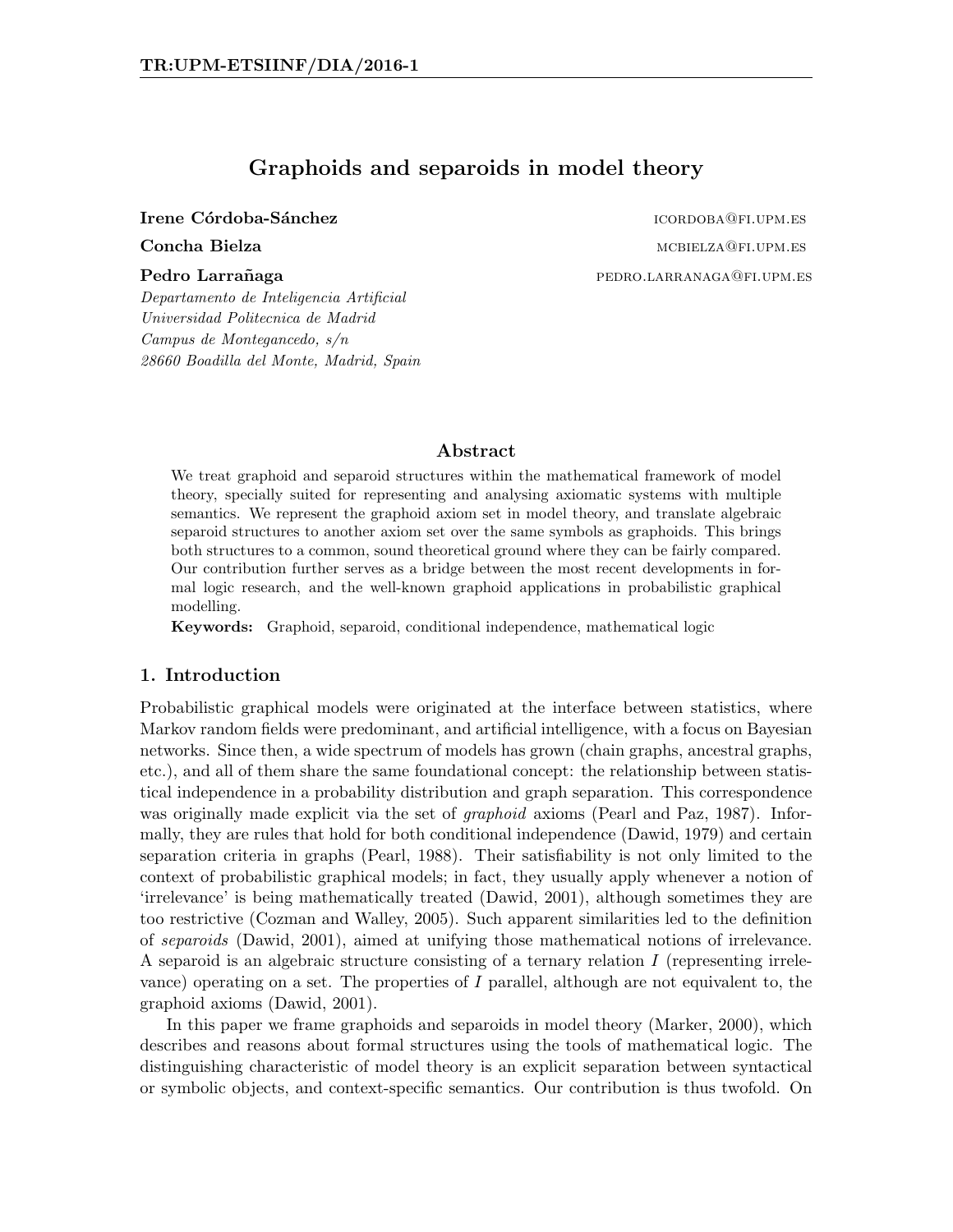# Graphoids and separoids in model theory

Irene Córdoba-Sánchez icordoba-Sánchez icordoba-Sánchez icordoba icordoba. Estadounidense icordoba. Estadounidense i

**Concha Bielza** material material material material material material material material material material material material material material material material material material material material material material material Pedro Larrañaga pedro.larrañaga pedro.larrañaga pedro.larrañaga pedro.larranaga pedro.larrañaga pedro.larrañag

Departamento de Inteligencia Artificial Universidad Politecnica de Madrid Campus de Montegancedo, s/n 28660 Boadilla del Monte, Madrid, Spain

### Abstract

We treat graphoid and separoid structures within the mathematical framework of model theory, specially suited for representing and analysing axiomatic systems with multiple semantics. We represent the graphoid axiom set in model theory, and translate algebraic separoid structures to another axiom set over the same symbols as graphoids. This brings both structures to a common, sound theoretical ground where they can be fairly compared. Our contribution further serves as a bridge between the most recent developments in formal logic research, and the well-known graphoid applications in probabilistic graphical modelling.

Keywords: Graphoid, separoid, conditional independence, mathematical logic

## 1. Introduction

Probabilistic graphical models were originated at the interface between statistics, where Markov random fields were predominant, and artificial intelligence, with a focus on Bayesian networks. Since then, a wide spectrum of models has grown (chain graphs, ancestral graphs, etc.), and all of them share the same foundational concept: the relationship between statistical independence in a probability distribution and graph separation. This correspondence was originally made explicit via the set of *graphoid* axioms (Pearl and Paz, 1987). Informally, they are rules that hold for both conditional independence (Dawid, 1979) and certain separation criteria in graphs (Pearl, 1988). Their satisfiability is not only limited to the context of probabilistic graphical models; in fact, they usually apply whenever a notion of 'irrelevance' is being mathematically treated (Dawid, 2001), although sometimes they are too restrictive (Cozman and Walley, 2005). Such apparent similarities led to the definition of separoids (Dawid, 2001), aimed at unifying those mathematical notions of irrelevance. A separoid is an algebraic structure consisting of a ternary relation  $I$  (representing irrelevance) operating on a set. The properties of  $I$  parallel, although are not equivalent to, the graphoid axioms (Dawid, 2001).

In this paper we frame graphoids and separoids in model theory (Marker, 2000), which describes and reasons about formal structures using the tools of mathematical logic. The distinguishing characteristic of model theory is an explicit separation between syntactical or symbolic objects, and context-specific semantics. Our contribution is thus twofold. On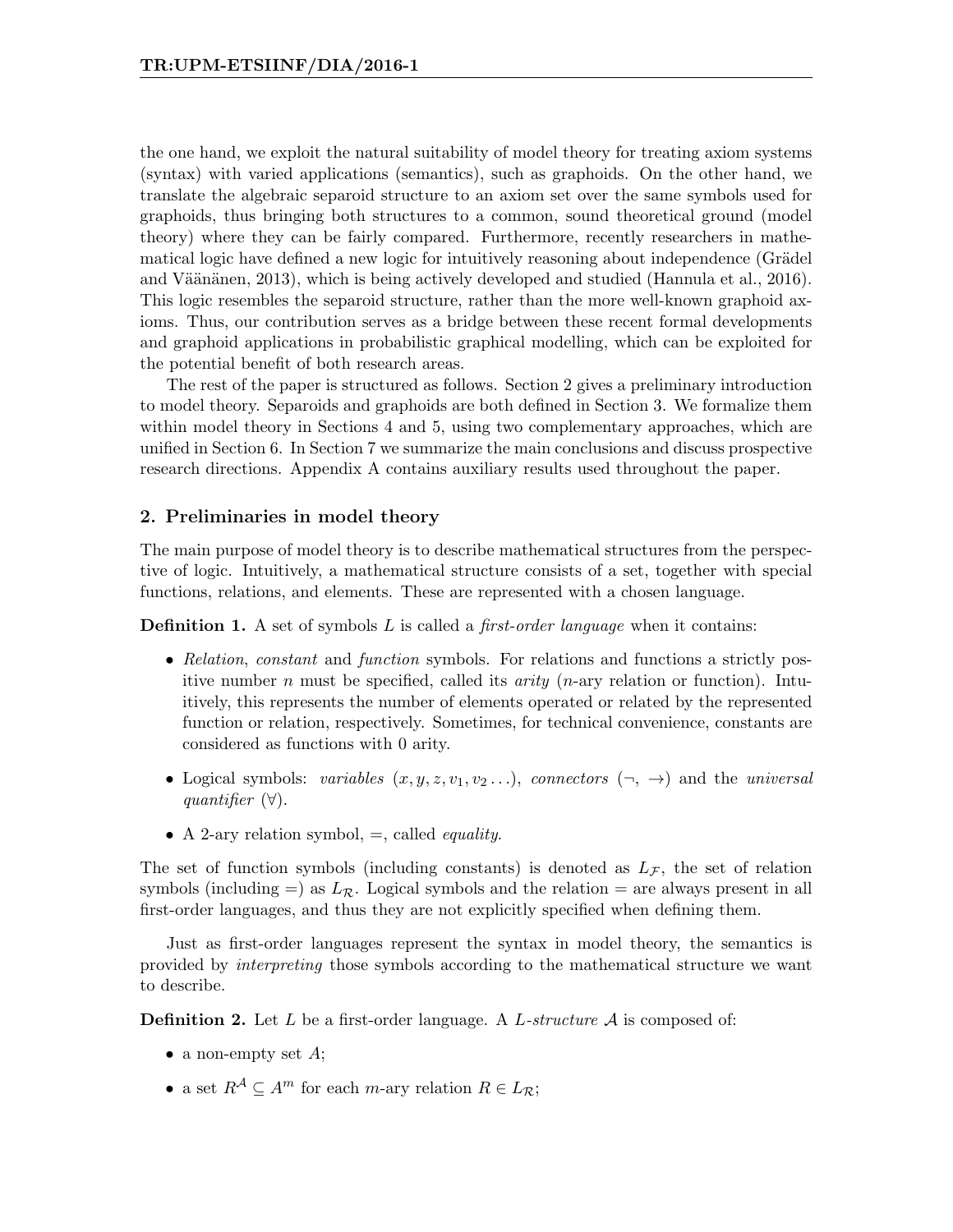the one hand, we exploit the natural suitability of model theory for treating axiom systems (syntax) with varied applications (semantics), such as graphoids. On the other hand, we translate the algebraic separoid structure to an axiom set over the same symbols used for graphoids, thus bringing both structures to a common, sound theoretical ground (model theory) where they can be fairly compared. Furthermore, recently researchers in mathematical logic have defined a new logic for intuitively reasoning about independence (Grädel and Väänänen, 2013), which is being actively developed and studied (Hannula et al., 2016). This logic resembles the separoid structure, rather than the more well-known graphoid axioms. Thus, our contribution serves as a bridge between these recent formal developments and graphoid applications in probabilistic graphical modelling, which can be exploited for the potential benefit of both research areas.

The rest of the paper is structured as follows. Section 2 gives a preliminary introduction to model theory. Separoids and graphoids are both defined in Section 3. We formalize them within model theory in Sections 4 and 5, using two complementary approaches, which are unified in Section 6. In Section 7 we summarize the main conclusions and discuss prospective research directions. Appendix A contains auxiliary results used throughout the paper.

## 2. Preliminaries in model theory

The main purpose of model theory is to describe mathematical structures from the perspective of logic. Intuitively, a mathematical structure consists of a set, together with special functions, relations, and elements. These are represented with a chosen language.

**Definition 1.** A set of symbols L is called a *first-order language* when it contains:

- Relation, constant and function symbols. For relations and functions a strictly positive number n must be specified, called its *arity*  $(n$ -ary relation or function). Intuitively, this represents the number of elements operated or related by the represented function or relation, respectively. Sometimes, for technical convenience, constants are considered as functions with 0 arity.
- Logical symbols: variables  $(x, y, z, v_1, v_2, ...)$ , connectors  $(\neg, \rightarrow)$  and the universal quantifier (∀).
- A 2-ary relation symbol,  $=$ , called *equality*.

The set of function symbols (including constants) is denoted as  $L_{\mathcal{F}}$ , the set of relation symbols (including =) as  $L_{\mathcal{R}}$ . Logical symbols and the relation = are always present in all first-order languages, and thus they are not explicitly specified when defining them.

Just as first-order languages represent the syntax in model theory, the semantics is provided by interpreting those symbols according to the mathematical structure we want to describe.

**Definition 2.** Let L be a first-order language. A L-structure  $A$  is composed of:

- a non-empty set  $A$ ;
- a set  $R^{\mathcal{A}} \subseteq A^m$  for each m-ary relation  $R \in L_{\mathcal{R}}$ ;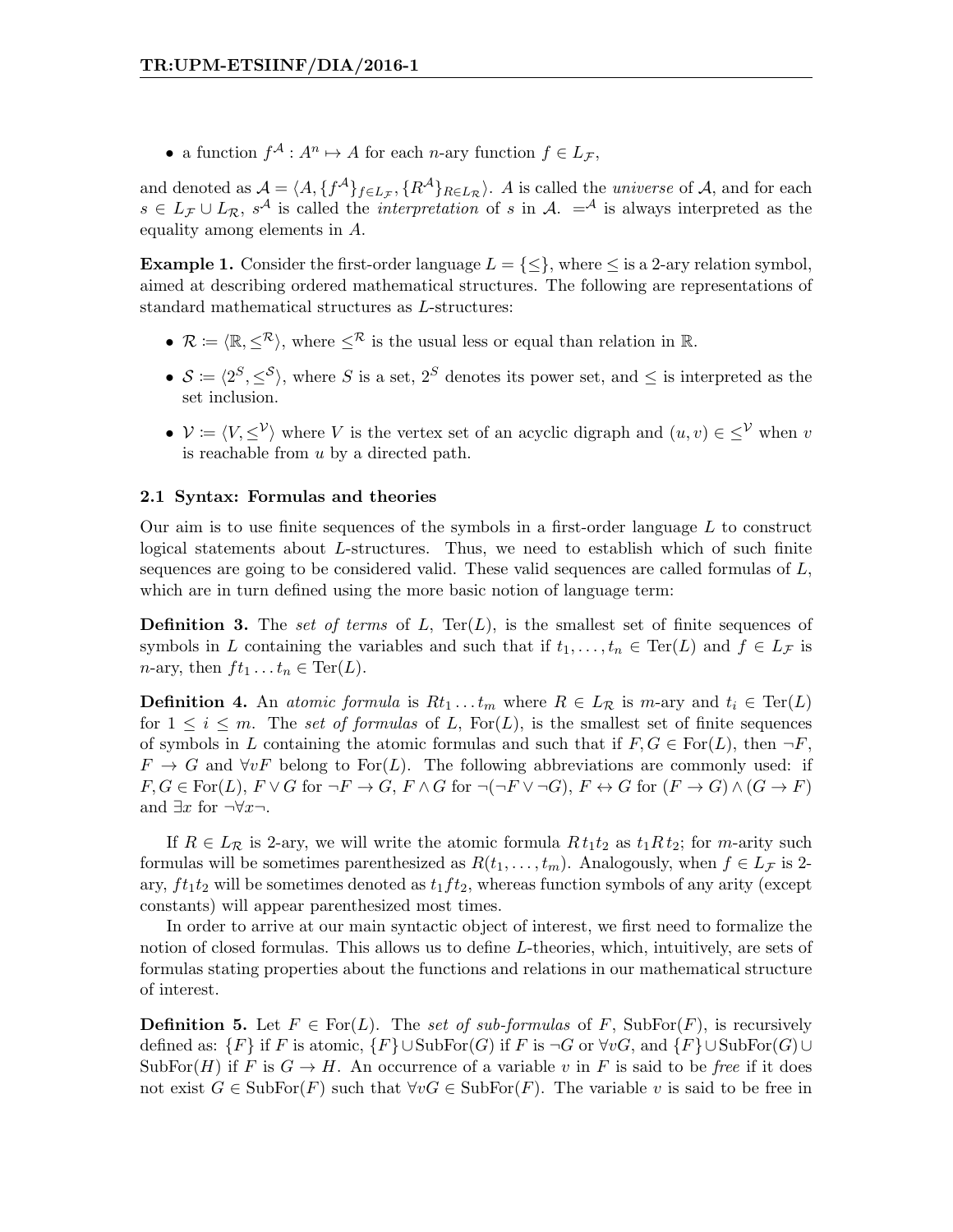• a function  $f^{\mathcal{A}}: A^n \mapsto A$  for each *n*-ary function  $f \in L_{\mathcal{F}}$ ,

and denoted as  $\mathcal{A} = \langle A, \{f^{\mathcal{A}}\}_{f \in L_{\mathcal{F}}}, \{R^{\mathcal{A}}\}_{R \in L_{\mathcal{R}}}\rangle$ . A is called the *universe* of  $\mathcal{A}$ , and for each  $s \in L_{\mathcal{F}} \cup L_{\mathcal{R}}$ ,  $s^{\mathcal{A}}$  is called the *interpretation* of s in  $\mathcal{A}$ .  $=$ <sup> $\mathcal{A}$ </sup> is always interpreted as the equality among elements in A.

**Example 1.** Consider the first-order language  $L = \{\leq\}$ , where  $\leq$  is a 2-ary relation symbol, aimed at describing ordered mathematical structures. The following are representations of standard mathematical structures as L-structures:

- $\mathcal{R} \coloneqq \langle \mathbb{R}, \leq^{\mathcal{R}} \rangle$ , where  $\leq^{\mathcal{R}}$  is the usual less or equal than relation in R.
- $S \coloneqq \langle 2^S, \leq^S \rangle$ , where S is a set,  $2^S$  denotes its power set, and  $\leq$  is interpreted as the set inclusion.
- $\mathcal{V} := \langle V, \leq^{\mathcal{V}} \rangle$  where V is the vertex set of an acyclic digraph and  $(u, v) \in \leq^{\mathcal{V}}$  when v is reachable from u by a directed path.

### 2.1 Syntax: Formulas and theories

Our aim is to use finite sequences of the symbols in a first-order language  $L$  to construct logical statements about L-structures. Thus, we need to establish which of such finite sequences are going to be considered valid. These valid sequences are called formulas of  $L$ , which are in turn defined using the more basic notion of language term:

**Definition 3.** The set of terms of L,  $Ter(L)$ , is the smallest set of finite sequences of symbols in L containing the variables and such that if  $t_1, \ldots, t_n \in \text{Ter}(L)$  and  $f \in L_{\mathcal{F}}$  is *n*-ary, then  $ft_1 \tldots t_n \in \text{Ter}(L)$ .

**Definition 4.** An atomic formula is  $Rt_1 \tldots t_m$  where  $R \in L_{\mathcal{R}}$  is m-ary and  $t_i \in \text{Ter}(L)$ for  $1 \leq i \leq m$ . The set of formulas of L, For(L), is the smallest set of finite sequences of symbols in L containing the atomic formulas and such that if  $F, G \in \text{For}(L)$ , then  $\neg F$ ,  $F \to G$  and  $\forall v F$  belong to For(L). The following abbreviations are commonly used: if  $F, G \in \text{For}(L), F \vee G$  for  $\neg F \rightarrow G, F \wedge G$  for  $\neg(\neg F \vee \neg G), F \leftrightarrow G$  for  $(F \rightarrow G) \wedge (G \rightarrow F)$ and  $\exists x$  for  $\neg \forall x \neg$ .

If  $R \in L_{\mathcal{R}}$  is 2-ary, we will write the atomic formula  $R t_1 t_2$  as  $t_1 R t_2$ ; for m-arity such formulas will be sometimes parenthesized as  $R(t_1, \ldots, t_m)$ . Analogously, when  $f \in L_{\mathcal{F}}$  is 2ary,  $ft_1t_2$  will be sometimes denoted as  $t_1ft_2$ , whereas function symbols of any arity (except constants) will appear parenthesized most times.

In order to arrive at our main syntactic object of interest, we first need to formalize the notion of closed formulas. This allows us to define L-theories, which, intuitively, are sets of formulas stating properties about the functions and relations in our mathematical structure of interest.

**Definition 5.** Let  $F \in \text{For}(L)$ . The set of sub-formulas of F, SubFor $(F)$ , is recursively defined as:  $\{F\}$  if F is atomic,  $\{F\} \cup \text{SubFor}(G)$  if F is  $\neg G$  or  $\forall vG$ , and  $\{F\} \cup \text{SubFor}(G) \cup$ SubFor $(H)$  if F is  $G \to H$ . An occurrence of a variable v in F is said to be free if it does not exist  $G \in SubFor(F)$  such that  $\forall v G \in SubFor(F)$ . The variable v is said to be free in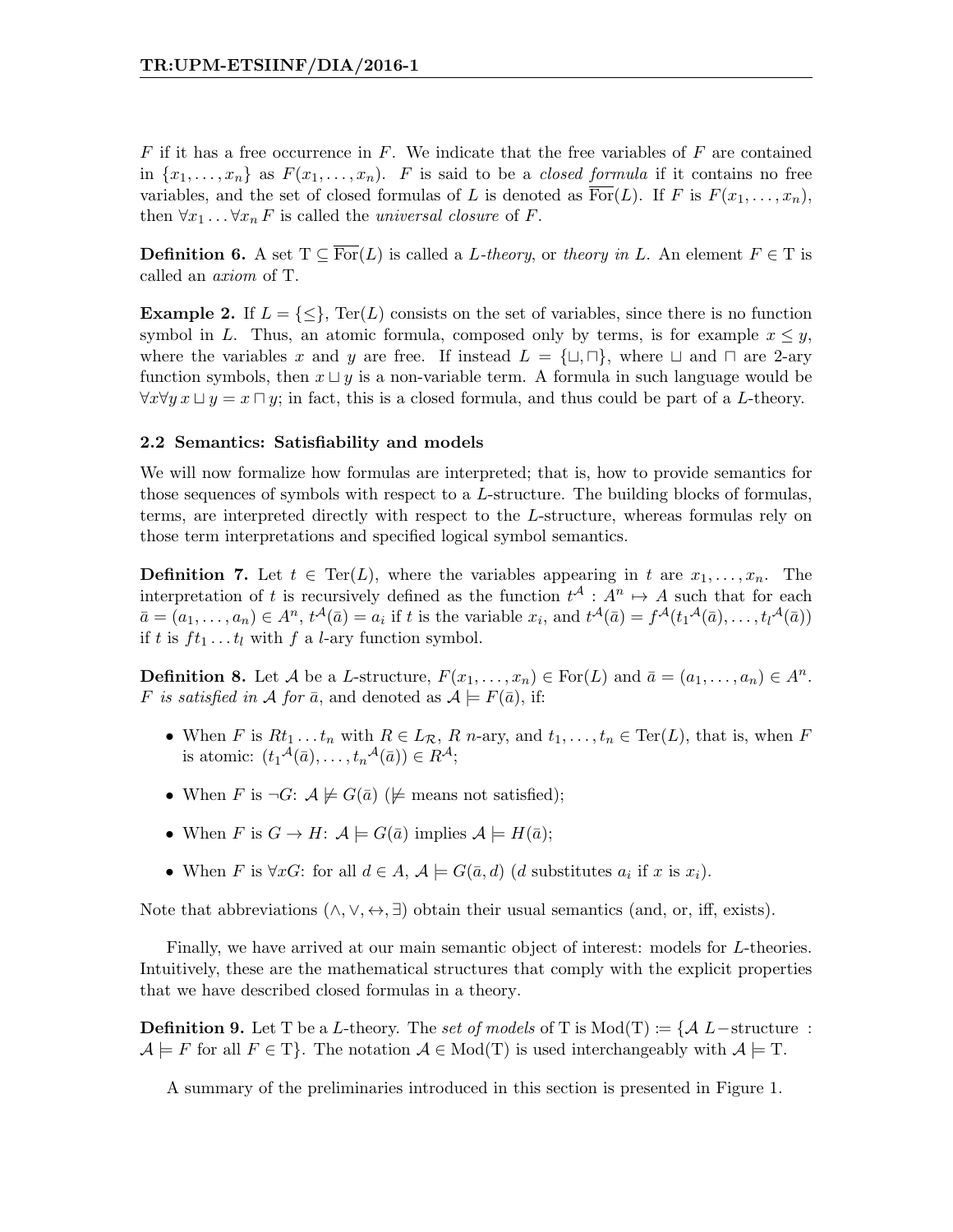$F$  if it has a free occurrence in  $F$ . We indicate that the free variables of  $F$  are contained in  $\{x_1, \ldots, x_n\}$  as  $F(x_1, \ldots, x_n)$ . F is said to be a *closed formula* if it contains no free variables, and the set of closed formulas of L is denoted as  $\overline{\text{For}}(L)$ . If F is  $F(x_1, \ldots, x_n)$ , then  $\forall x_1 \dots \forall x_n F$  is called the *universal closure* of F.

**Definition 6.** A set  $T \subseteq \overline{For}(L)$  is called a L-theory, or theory in L. An element  $F \in T$  is called an axiom of T.

**Example 2.** If  $L = \{\leq\}$ , Ter(L) consists on the set of variables, since there is no function symbol in L. Thus, an atomic formula, composed only by terms, is for example  $x \leq y$ , where the variables x and y are free. If instead  $L = \{\sqcup, \sqcap\}$ , where  $\sqcup$  and  $\sqcap$  are 2-ary function symbols, then  $x \sqcup y$  is a non-variable term. A formula in such language would be  $\forall x \forall y \ x \sqcup y = x \sqcap y$ ; in fact, this is a closed formula, and thus could be part of a L-theory.

## 2.2 Semantics: Satisfiability and models

We will now formalize how formulas are interpreted; that is, how to provide semantics for those sequences of symbols with respect to a L-structure. The building blocks of formulas, terms, are interpreted directly with respect to the L-structure, whereas formulas rely on those term interpretations and specified logical symbol semantics.

**Definition 7.** Let  $t \in \text{Ter}(L)$ , where the variables appearing in t are  $x_1, \ldots, x_n$ . The interpretation of t is recursively defined as the function  $t^{\mathcal{A}}: A^{n} \mapsto A$  such that for each  $\bar{a} = (a_1, \ldots, a_n) \in A^n$ ,  $t^{\mathcal{A}}(\bar{a}) = a_i$  if t is the variable  $x_i$ , and  $t^{\mathcal{A}}(\bar{a}) = f^{\mathcal{A}}(t_1{}^{\mathcal{A}}(\bar{a}), \ldots, t_l{}^{\mathcal{A}}(\bar{a}))$ if t is  $ft_1 \ldots t_l$  with f a l-ary function symbol.

**Definition 8.** Let A be a L-structure,  $F(x_1, \ldots, x_n) \in \text{For}(L)$  and  $\bar{a} = (a_1, \ldots, a_n) \in A^n$ . F is satisfied in A for  $\bar{a}$ , and denoted as  $A \models F(\bar{a})$ , if:

- When F is  $Rt_1 \tldots t_n$  with  $R \in L_{\mathcal{R}}$ , R n-ary, and  $t_1, \ldots, t_n \in \text{Ter}(L)$ , that is, when F is atomic:  $(t_1{}^{\mathcal{A}}(\bar{a}), \ldots, t_n{}^{\mathcal{A}}(\bar{a})) \in R^{\mathcal{A}};$
- When F is  $\neg G: \mathcal{A} \not\models G(\bar{a}) \ (\not\models \text{means not satisfied});$
- When F is  $G \to H: \mathcal{A} \models G(\bar{a})$  implies  $\mathcal{A} \models H(\bar{a})$ ;
- When F is  $\forall x G$ : for all  $d \in A$ ,  $\mathcal{A} \models G(\bar{a}, d)$  (d substitutes  $a_i$  if x is  $x_i$ ).

Note that abbreviations  $(\wedge, \vee, \leftrightarrow, \exists)$  obtain their usual semantics (and, or, iff, exists).

Finally, we have arrived at our main semantic object of interest: models for L-theories. Intuitively, these are the mathematical structures that comply with the explicit properties that we have described closed formulas in a theory.

**Definition 9.** Let T be a L-theory. The set of models of T is Mod(T) := { $\mathcal{A}$  L−structure :  $\mathcal{A} \models F$  for all  $F \in T$ . The notation  $\mathcal{A} \in Mod(T)$  is used interchangeably with  $\mathcal{A} \models T$ .

A summary of the preliminaries introduced in this section is presented in Figure 1.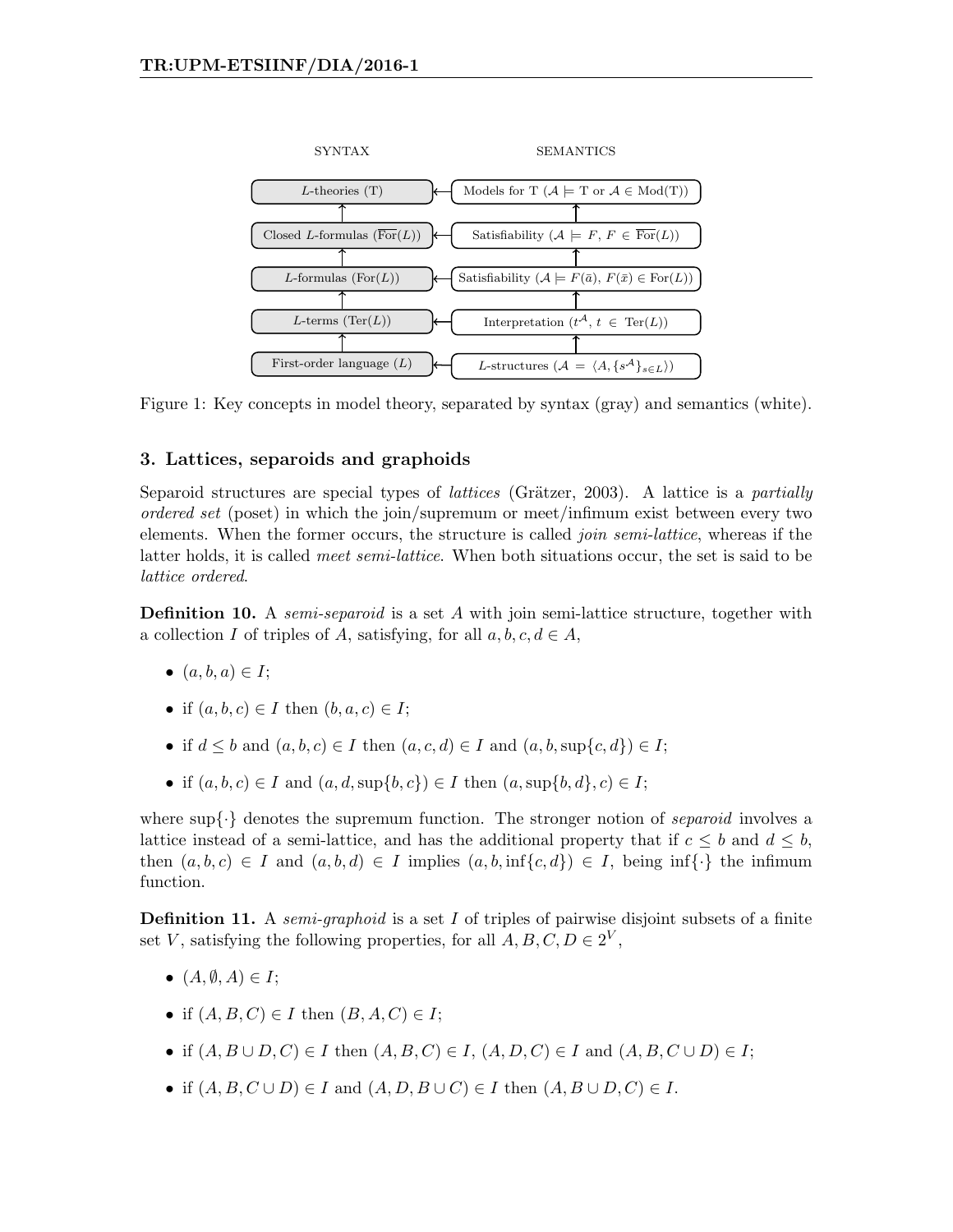

Figure 1: Key concepts in model theory, separated by syntax (gray) and semantics (white).

## 3. Lattices, separoids and graphoids

Separoid structures are special types of *lattices* (Grätzer, 2003). A lattice is a *partially* ordered set (poset) in which the join/supremum or meet/infimum exist between every two elements. When the former occurs, the structure is called *join semi-lattice*, whereas if the latter holds, it is called *meet semi-lattice*. When both situations occur, the set is said to be lattice ordered.

**Definition 10.** A *semi-separoid* is a set A with join semi-lattice structure, together with a collection I of triples of A, satisfying, for all  $a, b, c, d \in A$ ,

- $\bullet$   $(a, b, a) \in I$ ;
- if  $(a, b, c) \in I$  then  $(b, a, c) \in I$ ;
- if  $d \leq b$  and  $(a, b, c) \in I$  then  $(a, c, d) \in I$  and  $(a, b, \sup\{c, d\}) \in I$ ;
- if  $(a, b, c) \in I$  and  $(a, d, \sup\{b, c\}) \in I$  then  $(a, \sup\{b, d\}, c) \in I$ ;

where  $\sup\{\cdot\}$  denotes the supremum function. The stronger notion of *separoid* involves a lattice instead of a semi-lattice, and has the additional property that if  $c \leq b$  and  $d \leq b$ , then  $(a, b, c) \in I$  and  $(a, b, d) \in I$  implies  $(a, b, inf\{c, d\}) \in I$ , being inf $\{\cdot\}$  the infimum function.

**Definition 11.** A *semi-graphoid* is a set I of triples of pairwise disjoint subsets of a finite set V, satisfying the following properties, for all  $A, B, C, D \in 2^V$ ,

- $(A, \emptyset, A) \in I$ ;
- if  $(A, B, C) \in I$  then  $(B, A, C) \in I$ ;
- if  $(A, B \cup D, C) \in I$  then  $(A, B, C) \in I$ ,  $(A, D, C) \in I$  and  $(A, B, C \cup D) \in I$ ;
- if  $(A, B, C \cup D) \in I$  and  $(A, D, B \cup C) \in I$  then  $(A, B \cup D, C) \in I$ .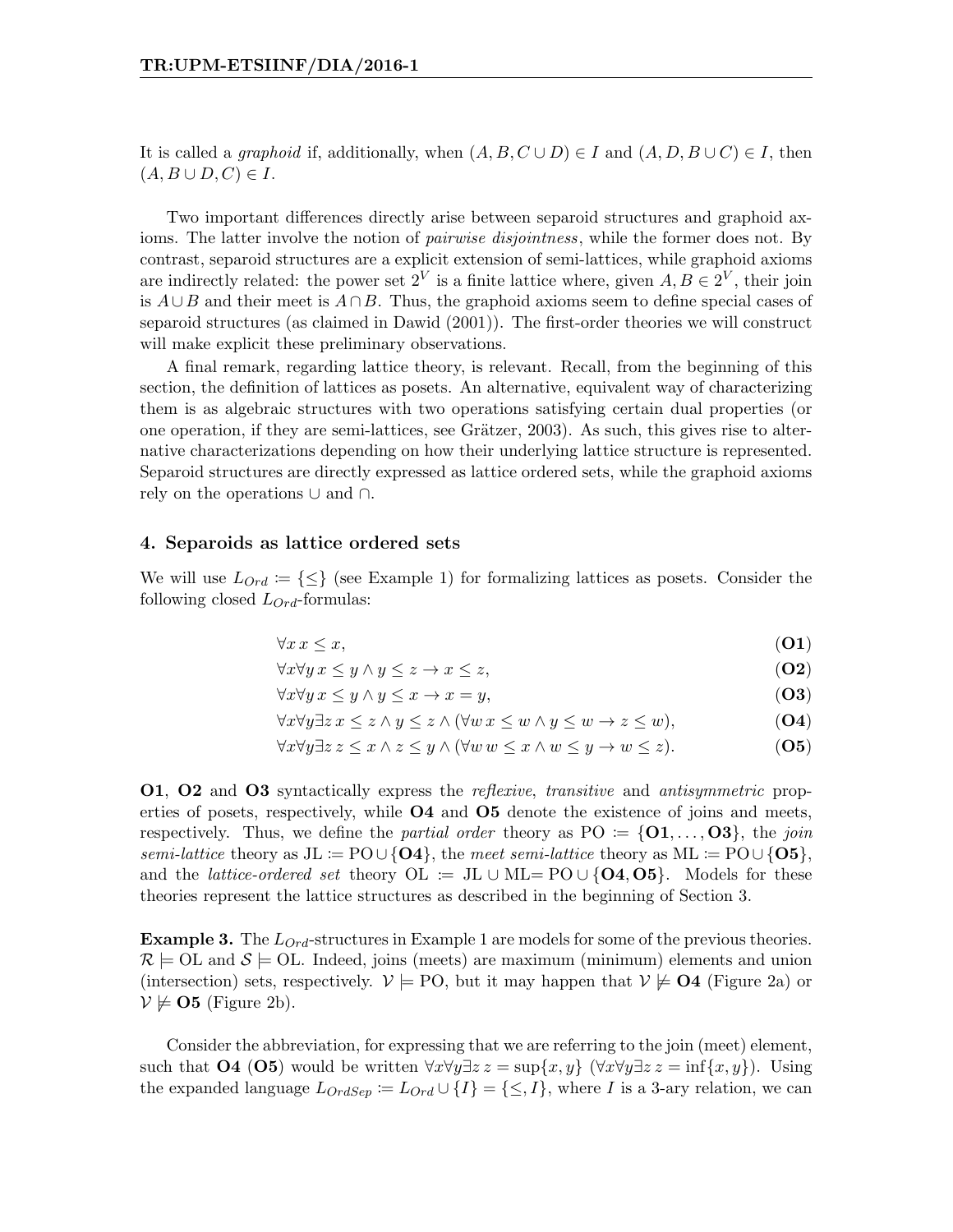It is called a graphoid if, additionally, when  $(A, B, C \cup D) \in I$  and  $(A, D, B \cup C) \in I$ , then  $(A, B \cup D, C) \in I$ .

Two important differences directly arise between separoid structures and graphoid axioms. The latter involve the notion of *pairwise disjointness*, while the former does not. By contrast, separoid structures are a explicit extension of semi-lattices, while graphoid axioms are indirectly related: the power set  $2^V$  is a finite lattice where, given  $A, B \in 2^V$ , their join is  $A \cup B$  and their meet is  $A \cap B$ . Thus, the graphoid axioms seem to define special cases of separoid structures (as claimed in Dawid (2001)). The first-order theories we will construct will make explicit these preliminary observations.

A final remark, regarding lattice theory, is relevant. Recall, from the beginning of this section, the definition of lattices as posets. An alternative, equivalent way of characterizing them is as algebraic structures with two operations satisfying certain dual properties (or one operation, if they are semi-lattices, see Grätzer,  $2003$ ). As such, this gives rise to alternative characterizations depending on how their underlying lattice structure is represented. Separoid structures are directly expressed as lattice ordered sets, while the graphoid axioms rely on the operations ∪ and ∩.

### 4. Separoids as lattice ordered sets

We will use  $L_{Ord} := \{\leq\}$  (see Example 1) for formalizing lattices as posets. Consider the following closed  $L_{Ord}$ -formulas:

$$
\forall x \, x \le x,\tag{O1}
$$

$$
\forall x \forall y \, x \le y \land y \le z \to x \le z,\tag{O2}
$$

$$
\forall x \forall y \, x \le y \land y \le x \to x = y,\tag{O3}
$$

$$
\forall x \forall y \exists z \, x \le z \land y \le z \land (\forall w \, x \le w \land y \le w \to z \le w), \tag{O4}
$$

$$
\forall x \forall y \exists z \ z \leq x \land z \leq y \land (\forall w \ w \leq x \land w \leq y \to w \leq z). \tag{O5}
$$

O1, O2 and O3 syntactically express the reflexive, transitive and antisymmetric properties of posets, respectively, while **O4** and **O5** denote the existence of joins and meets, respectively. Thus, we define the *partial order* theory as  $PO := \{O1, \ldots, O3\}$ , the *join* semi-lattice theory as JL :=  $PO \cup \{O4\}$ , the meet semi-lattice theory as ML :=  $PO \cup \{O5\}$ , and the *lattice-ordered set* theory  $OL = JL \cup ML = PO \cup \{O4, O5\}$ . Models for these theories represent the lattice structures as described in the beginning of Section 3.

**Example 3.** The  $L_{Ord}$ -structures in Example 1 are models for some of the previous theories.  $\mathcal{R} \models$  OL and  $\mathcal{S} \models$  OL. Indeed, joins (meets) are maximum (minimum) elements and union (intersection) sets, respectively.  $V \models \text{PO}$ , but it may happen that  $V \not\models \text{O4}$  (Figure 2a) or  $\mathcal{V} \not\models \mathbf{O5}$  (Figure 2b).

Consider the abbreviation, for expressing that we are referring to the join (meet) element, such that  $\mathbf{O4}$  ( $\mathbf{O5}$ ) would be written  $\forall x \forall y \exists z z = \sup\{x, y\}$  ( $\forall x \forall y \exists z z = \inf\{x, y\}$ ). Using the expanded language  $L_{OrdSep} := L_{Ord} \cup \{I\} = \{\leq,I\}$ , where I is a 3-ary relation, we can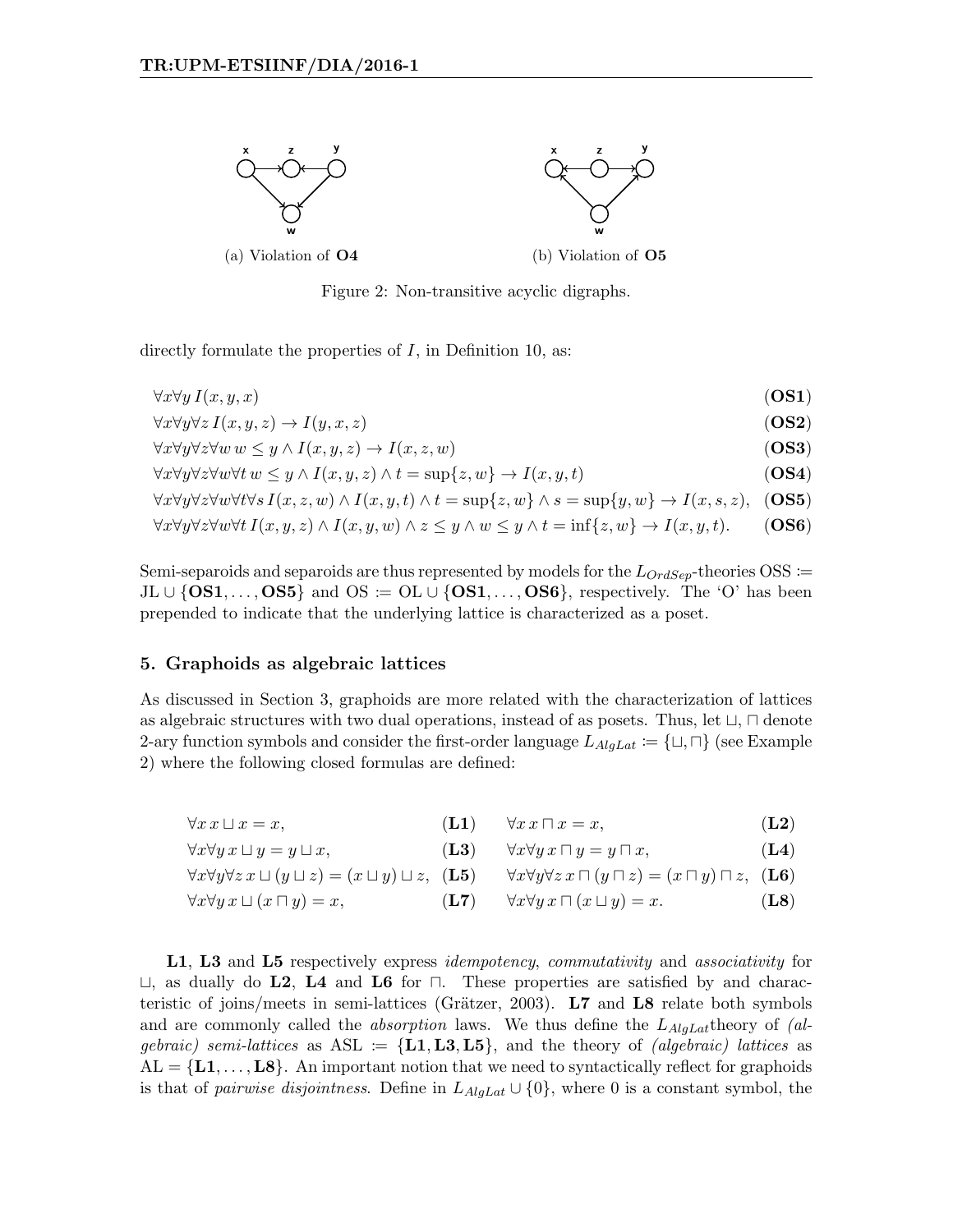

Figure 2: Non-transitive acyclic digraphs.

directly formulate the properties of  $I$ , in Definition 10, as:

$$
\forall x \forall y \, I(x, y, x) \tag{OS1}
$$

$$
\forall x \forall y \forall z I(x, y, z) \rightarrow I(y, x, z) \tag{OS2}
$$

 $\forall x \forall y \forall z \forall w w \leq y \land I(x, y, z) \rightarrow I(x, z, w)$  (OS3)

 $\forall x \forall y \forall z \forall w \forall t \ w \leq y \land I(x, y, z) \land t = \sup\{z, w\} \rightarrow I(x, y, t)$  (OS4)

 $\forall x \forall y \forall z \forall w \forall t \forall s I(x, z, w) \land I(x, y, t) \land t = \sup\{z, w\} \land s = \sup\{y, w\} \rightarrow I(x, s, z),$  (OS5)

$$
\forall x \forall y \forall z \forall w \forall t \ I(x, y, z) \land I(x, y, w) \land z \leq y \land w \leq y \land t = \inf\{z, w\} \to I(x, y, t). \tag{OS6}
$$

Semi-separoids and separoids are thus represented by models for the  $L_{OrdSep}$ -theories OSS :=  $JL \cup \{OS1, \ldots, OS5\}$  and  $OS \coloneqq OL \cup \{OS1, \ldots, OS6\}$ , respectively. The 'O' has been prepended to indicate that the underlying lattice is characterized as a poset.

## 5. Graphoids as algebraic lattices

As discussed in Section 3, graphoids are more related with the characterization of lattices as algebraic structures with two dual operations, instead of as posets. Thus, let  $\sqcup$ ,  $\sqcap$  denote 2-ary function symbols and consider the first-order language  $L_{Ala}L_{at} := {\{\sqcup, \sqcap\}}$  (see Example 2) where the following closed formulas are defined:

| $\forall x \, x \sqcup x = x,$ | $\forall x \ x \sqcap x = x,$ | (L2) |  |
|--------------------------------|-------------------------------|------|--|
|                                |                               |      |  |

$$
\forall x \forall y \, x \sqcup y = y \sqcup x, \qquad (\mathbf{L3}) \qquad \forall x \forall y \, x \sqcap y = y \sqcap x, \qquad (\mathbf{L4})
$$

$$
\forall x \forall y \forall z \ x \sqcup (y \sqcup z) = (x \sqcup y) \sqcup z, \quad (\mathbf{L5}) \qquad \forall x \forall y \forall z \ x \sqcap (y \sqcap z) = (x \sqcap y) \sqcap z, \quad (\mathbf{L6})
$$

$$
\forall x \forall y \, x \sqcup (x \sqcap y) = x, \qquad (\mathbf{L7}) \qquad \forall x \forall y \, x \sqcap (x \sqcup y) = x. \tag{L8}
$$

L1, L3 and L5 respectively express *idempotency, commutativity* and *associativity* for  $\sqcup$ , as dually do L2, L4 and L6 for  $\sqcap$ . These properties are satisfied by and characteristic of joins/meets in semi-lattices (Grätzer, 2003).  $L7$  and  $L8$  relate both symbols and are commonly called the *absorption* laws. We thus define the  $L_{AlqLat}$  theory of (algebraic) semi-lattices as  $ASL := \{L1, L3, L5\}$ , and the theory of *(algebraic) lattices* as  $AL = \{L1, \ldots, L8\}$ . An important notion that we need to syntactically reflect for graphoids is that of *pairwise disjointness*. Define in  $L_{AlgLat} \cup \{0\}$ , where 0 is a constant symbol, the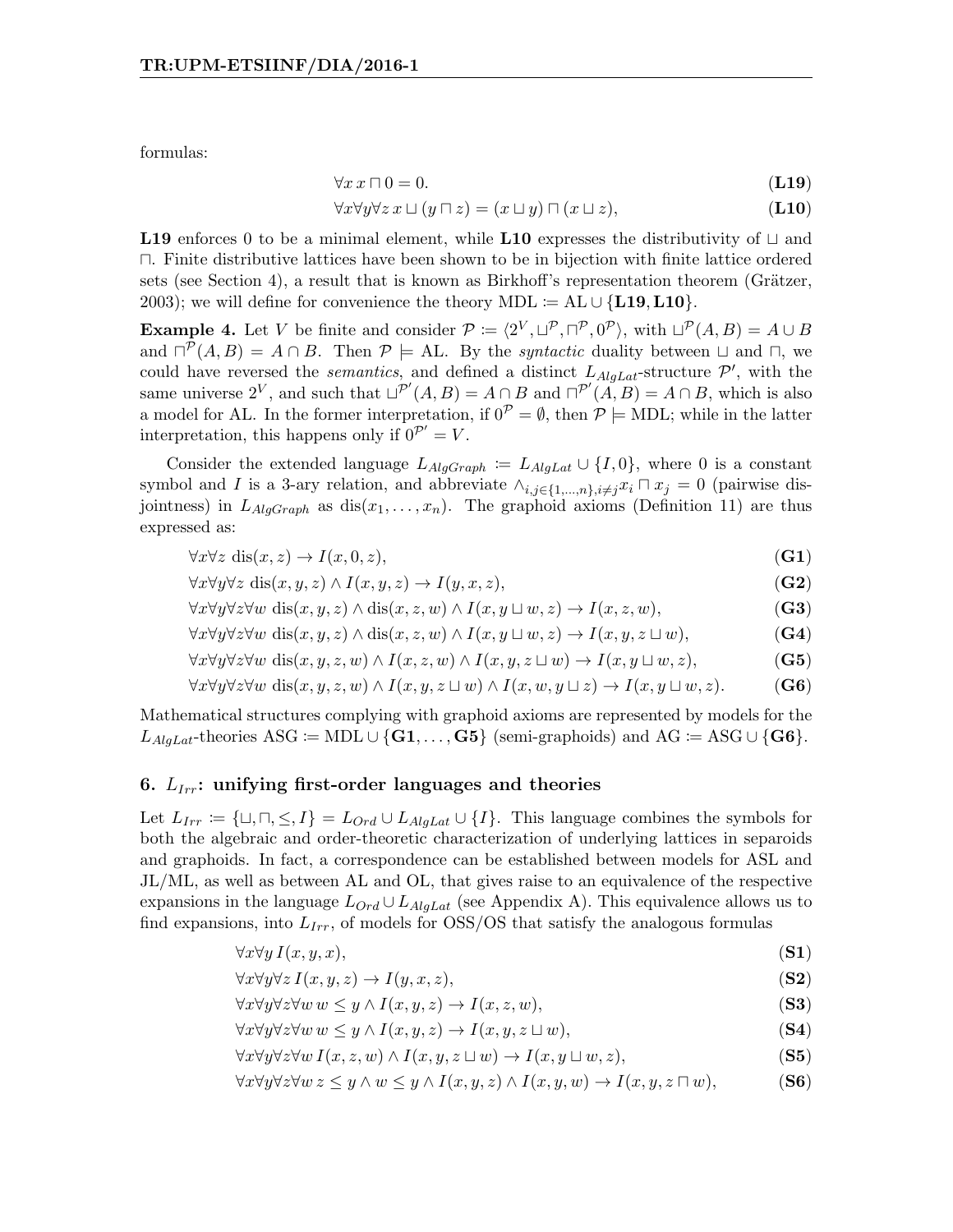formulas:

$$
\forall x \, x \sqcap 0 = 0. \tag{L19}
$$

$$
\forall x \forall y \forall z \ x \sqcup (y \sqcap z) = (x \sqcup y) \sqcap (x \sqcup z), \tag{L10}
$$

**L19** enforces 0 to be a minimal element, while **L10** expresses the distributivity of  $\sqcup$  and  $\Box$ . Finite distributive lattices have been shown to be in bijection with finite lattice ordered sets (see Section 4), a result that is known as Birkhoff's representation theorem (Grätzer, 2003); we will define for convenience the theory MDL := AL  $\cup$  {L19, L10}.

**Example 4.** Let V be finite and consider  $\mathcal{P} := \langle 2^V, \sqcup^{\mathcal{P}}, \sqcap^{\mathcal{P}}, 0^{\mathcal{P}} \rangle$ , with  $\sqcup^{\mathcal{P}}(A, B) = A \cup B$ and  $\Box^{\mathcal{P}}(A, B) = A \cap B$ . Then  $\mathcal{P} \models A\Box$  By the *syntactic* duality between  $\Box$  and  $\Box$ , we could have reversed the *semantics*, and defined a distinct  $L_{AlgLat}$ -structure  $\mathcal{P}'$ , with the same universe  $2^V$ , and such that  $\Box^{P'}(A, B) = A \cap B$  and  $\Box^{P'}(A, B) = A \cap B$ , which is also a model for AL. In the former interpretation, if  $0^{\mathcal{P}} = \emptyset$ , then  $\mathcal{P} \models \text{MDL}$ ; while in the latter interpretation, this happens only if  $0^{\mathcal{P}'} = V$ .

Consider the extended language  $L_{AlgGraph} := L_{AlgLat} \cup \{I, 0\}$ , where 0 is a constant symbol and I is a 3-ary relation, and abbreviate  $\wedge_{i,j\in\{1,\dots,n\},i\neq j}x_i\sqcap x_j=0$  (pairwise disjointness) in  $L_{AlgGraph}$  as  $dis(x_1, \ldots, x_n)$ . The graphoid axioms (Definition 11) are thus expressed as:

$$
\forall x \forall z \ \text{dis}(x, z) \to I(x, 0, z), \tag{G1}
$$

$$
\forall x \forall y \forall z \text{ dis}(x, y, z) \land I(x, y, z) \rightarrow I(y, x, z),
$$
\n
$$
(G2)
$$

$$
\forall x \forall y \forall z \forall w \text{ dis}(x, y, z) \land \text{dis}(x, z, w) \land I(x, y \sqcup w, z) \rightarrow I(x, z, w),
$$
\n(G3)

$$
\forall x \forall y \forall z \forall w \text{ dis}(x, y, z) \land \text{dis}(x, z, w) \land I(x, y \sqcup w, z) \rightarrow I(x, y, z \sqcup w), \tag{G4}
$$

$$
\forall x \forall y \forall z \forall w \text{ dis}(x, y, z, w) \land I(x, z, w) \land I(x, y, z \sqcup w) \rightarrow I(x, y \sqcup w, z),
$$
\n(G5)

$$
\forall x \forall y \forall z \forall w \text{ dis}(x, y, z, w) \land I(x, y, z \sqcup w) \land I(x, w, y \sqcup z) \rightarrow I(x, y \sqcup w, z). \tag{G6}
$$

Mathematical structures complying with graphoid axioms are represented by models for the  $L_{AlqLat}$ -theories ASG := MDL ∪ {G1,..., G5} (semi-graphoids) and AG := ASG ∪ {G6}.

#### 6.  $L_{Irr}$ : unifying first-order languages and theories

Let  $L_{Irr} := \{\sqcup, \sqcap, \leq, I\} = L_{Ord} \cup L_{AlgLat} \cup \{I\}.$  This language combines the symbols for both the algebraic and order-theoretic characterization of underlying lattices in separoids and graphoids. In fact, a correspondence can be established between models for ASL and JL/ML, as well as between AL and OL, that gives raise to an equivalence of the respective expansions in the language  $L_{Ord} \cup L_{AlgLat}$  (see Appendix A). This equivalence allows us to find expansions, into  $L_{Irr}$ , of models for  $\text{OSS}/\text{OS}$  that satisfy the analogous formulas

$$
\forall x \forall y \, I(x, y, x), \tag{S1}
$$

$$
\forall x \forall y \forall z \ I(x, y, z) \to I(y, x, z), \tag{S2}
$$

$$
\forall x \forall y \forall z \forall w \ w \leq y \land I(x, y, z) \rightarrow I(x, z, w), \tag{S3}
$$

$$
\forall x \forall y \forall z \forall w \ w \leq y \land I(x, y, z) \rightarrow I(x, y, z \sqcup w), \tag{S4}
$$

$$
\forall x \forall y \forall z \forall w \ I(x, z, w) \land I(x, y, z \sqcup w) \rightarrow I(x, y \sqcup w, z), \tag{S5}
$$

$$
\forall x \forall y \forall z \forall w \ z \leq y \land w \leq y \land I(x, y, z) \land I(x, y, w) \rightarrow I(x, y, z \sqcap w),
$$
 (S6)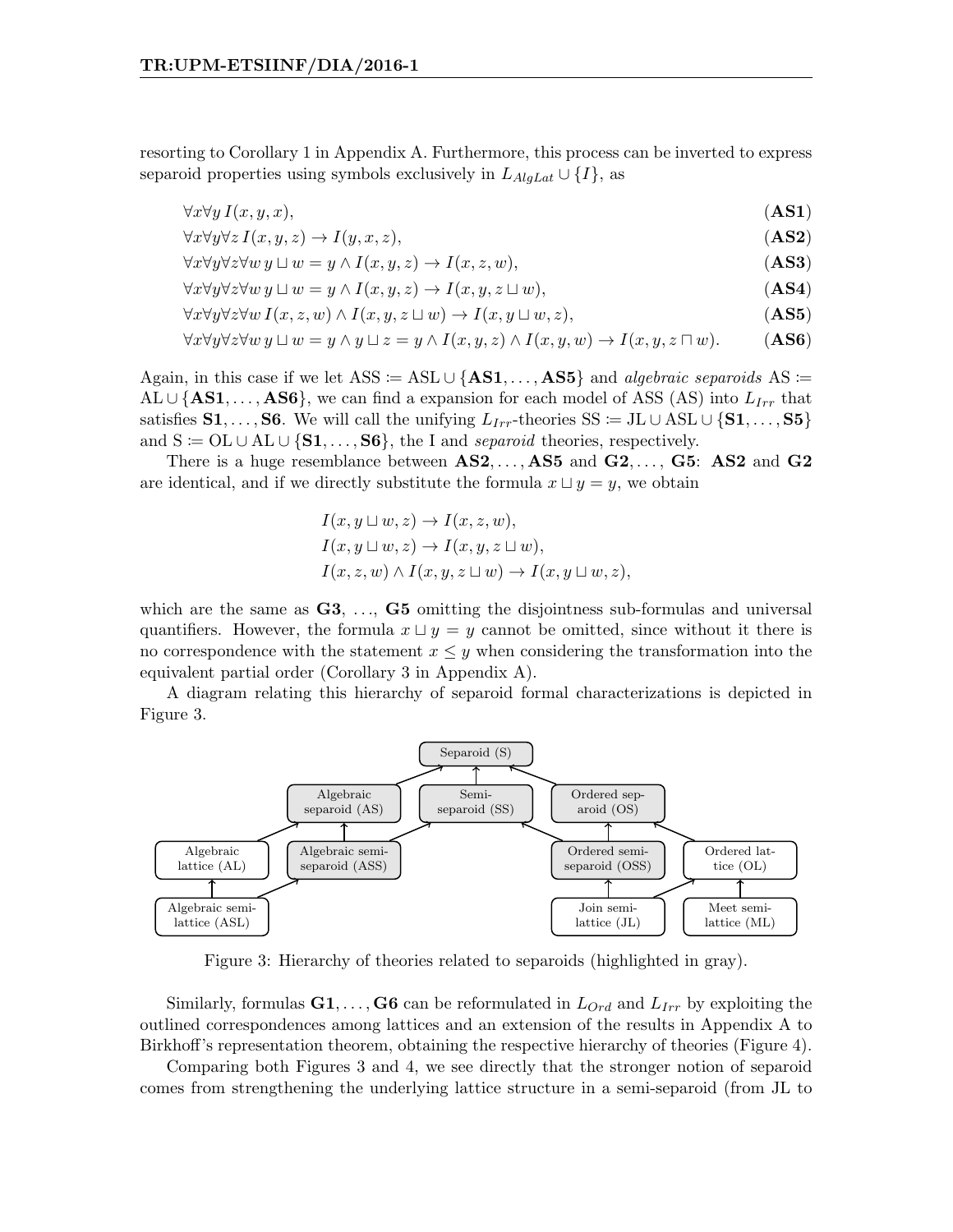resorting to Corollary 1 in Appendix A. Furthermore, this process can be inverted to express separoid properties using symbols exclusively in  $L_{AlqLat} \cup \{I\}$ , as

$$
\forall x \forall y \, I(x, y, x), \tag{AS1}
$$

$$
\forall x \forall y \forall z \ I(x, y, z) \rightarrow I(y, x, z), \tag{AS2}
$$

$$
\forall x \forall y \forall z \forall w \ y \sqcup w = y \land I(x, y, z) \rightarrow I(x, z, w), \tag{AS3}
$$

$$
\forall x \forall y \forall z \forall w \ y \sqcup w = y \land I(x, y, z) \rightarrow I(x, y, z \sqcup w), \tag{AS4}
$$

$$
\forall x \forall y \forall z \forall w \ I(x, z, w) \land I(x, y, z \sqcup w) \rightarrow I(x, y \sqcup w, z), \tag{AS5}
$$

$$
\forall x \forall y \forall z \forall w \ y \sqcup w = y \land y \sqcup z = y \land I(x, y, z) \land I(x, y, w) \rightarrow I(x, y, z \sqcap w). \tag{AS6}
$$

Again, in this case if we let ASS := ASL ∪ {AS1, ..., AS5} and *algebraic separoids* AS :=  $AL \cup \{AS1, \ldots, AS6\}$ , we can find a expansion for each model of ASS (AS) into  $L_{Irr}$  that satisfies S1, ..., S6. We will call the unifying  $L_{Irr}$ -theories SS := JL ∪ ASL ∪ {S1, ..., S5} and  $S \coloneqq \text{OL} \cup \text{AL} \cup \{S_1, \ldots, S_6\}$ , the I and separoid theories, respectively.

There is a huge resemblance between  $AS2, \ldots, AS5$  and  $G2, \ldots, G5$ : AS2 and  $G2$ are identical, and if we directly substitute the formula  $x \sqcup y = y$ , we obtain

$$
I(x, y \sqcup w, z) \to I(x, z, w),
$$
  
\n
$$
I(x, y \sqcup w, z) \to I(x, y, z \sqcup w),
$$
  
\n
$$
I(x, z, w) \land I(x, y, z \sqcup w) \to I(x, y \sqcup w, z),
$$

which are the same as  $G3, \ldots, G5$  omitting the disjointness sub-formulas and universal quantifiers. However, the formula  $x \sqcup y = y$  cannot be omitted, since without it there is no correspondence with the statement  $x \leq y$  when considering the transformation into the equivalent partial order (Corollary 3 in Appendix A).

A diagram relating this hierarchy of separoid formal characterizations is depicted in Figure 3.



Figure 3: Hierarchy of theories related to separoids (highlighted in gray).

Similarly, formulas  $G_1, \ldots, G_6$  can be reformulated in  $L_{Ord}$  and  $L_{Irr}$  by exploiting the outlined correspondences among lattices and an extension of the results in Appendix A to Birkhoff's representation theorem, obtaining the respective hierarchy of theories (Figure 4).

Comparing both Figures 3 and 4, we see directly that the stronger notion of separoid comes from strengthening the underlying lattice structure in a semi-separoid (from JL to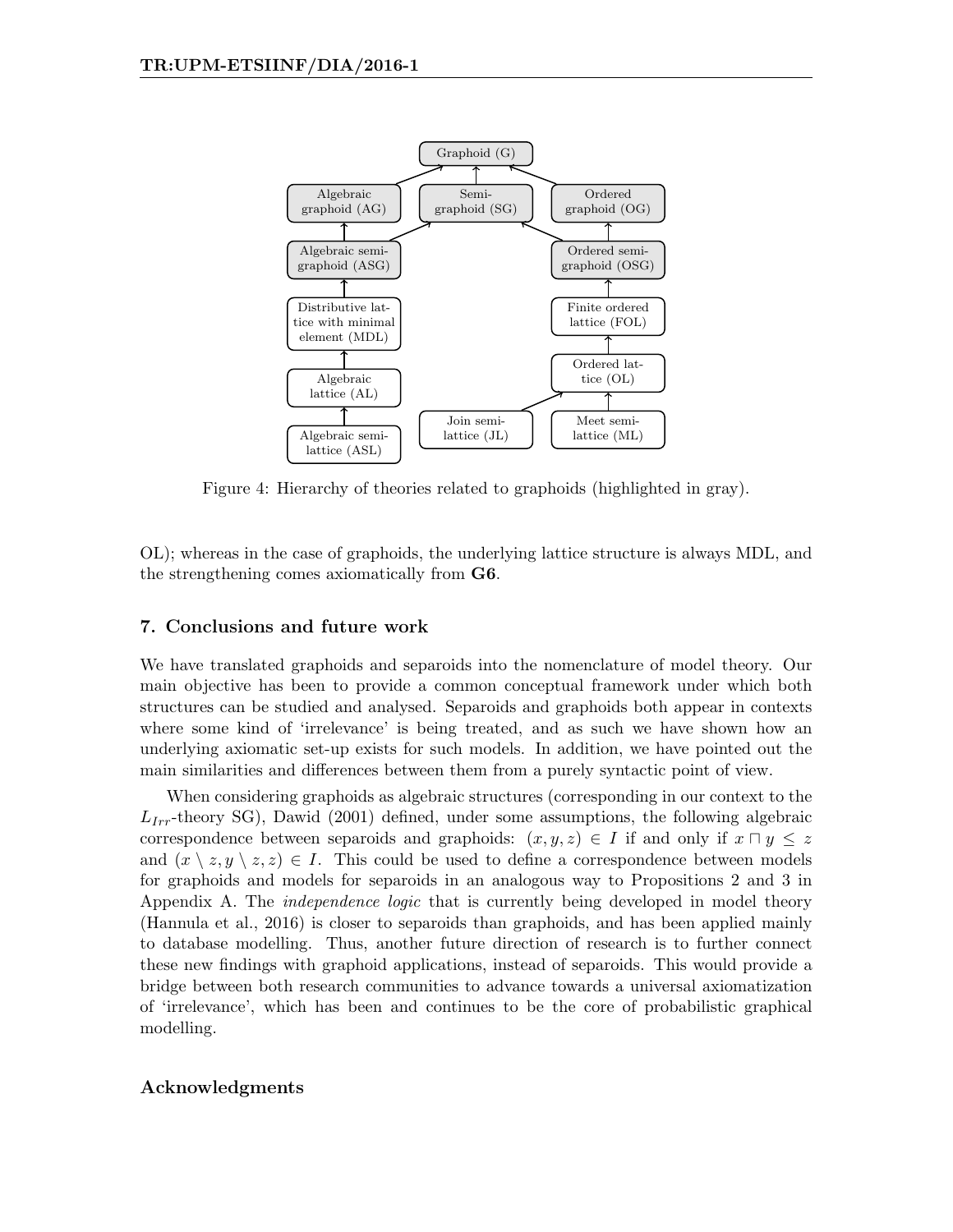

Figure 4: Hierarchy of theories related to graphoids (highlighted in gray).

OL); whereas in the case of graphoids, the underlying lattice structure is always MDL, and the strengthening comes axiomatically from G6.

## 7. Conclusions and future work

We have translated graphoids and separoids into the nomenclature of model theory. Our main objective has been to provide a common conceptual framework under which both structures can be studied and analysed. Separoids and graphoids both appear in contexts where some kind of 'irrelevance' is being treated, and as such we have shown how an underlying axiomatic set-up exists for such models. In addition, we have pointed out the main similarities and differences between them from a purely syntactic point of view.

When considering graphoids as algebraic structures (corresponding in our context to the  $L_{Irr}$ -theory SG), Dawid (2001) defined, under some assumptions, the following algebraic correspondence between separoids and graphoids:  $(x, y, z) \in I$  if and only if  $x \sqcap y \leq z$ and  $(x \setminus z, y \setminus z, z) \in I$ . This could be used to define a correspondence between models for graphoids and models for separoids in an analogous way to Propositions 2 and 3 in Appendix A. The *independence logic* that is currently being developed in model theory (Hannula et al., 2016) is closer to separoids than graphoids, and has been applied mainly to database modelling. Thus, another future direction of research is to further connect these new findings with graphoid applications, instead of separoids. This would provide a bridge between both research communities to advance towards a universal axiomatization of 'irrelevance', which has been and continues to be the core of probabilistic graphical modelling.

## Acknowledgments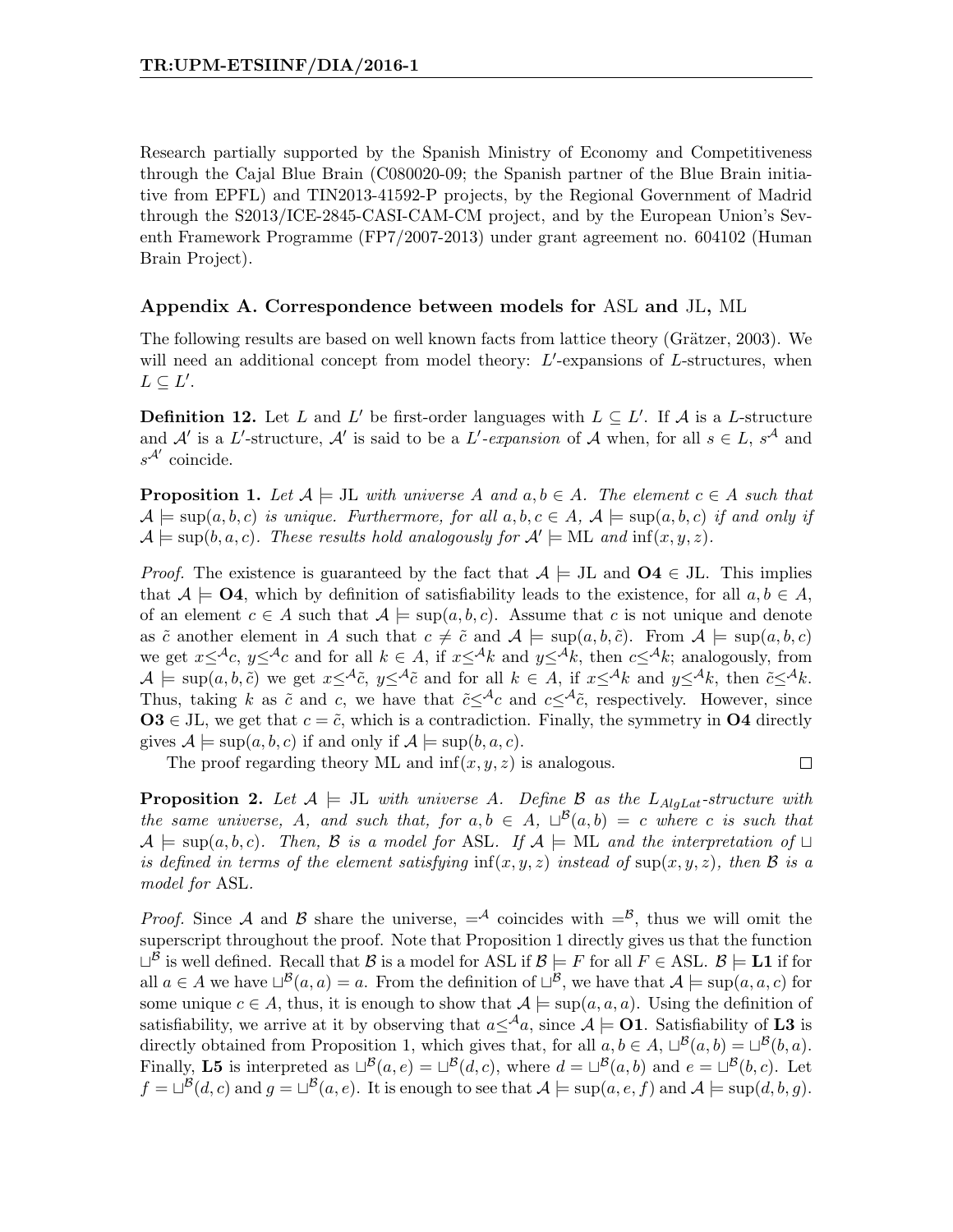Research partially supported by the Spanish Ministry of Economy and Competitiveness through the Cajal Blue Brain (C080020-09; the Spanish partner of the Blue Brain initiative from EPFL) and TIN2013-41592-P projects, by the Regional Government of Madrid through the S2013/ICE-2845-CASI-CAM-CM project, and by the European Union's Seventh Framework Programme (FP7/2007-2013) under grant agreement no. 604102 (Human Brain Project).

## Appendix A. Correspondence between models for ASL and JL, ML

The following results are based on well known facts from lattice theory (Grätzer, 2003). We will need an additional concept from model theory:  $L'$ -expansions of  $L$ -structures, when  $L \subseteq L'.$ 

**Definition 12.** Let L and L' be first-order languages with  $L \subseteq L'$ . If A is a L-structure and A' is a L'-structure, A' is said to be a L'-expansion of A when, for all  $s \in L$ ,  $s^{\mathcal{A}}$  and  $s^{\mathcal{A}'}$  coincide.

**Proposition 1.** Let  $A \models$  JL with universe A and  $a, b \in A$ . The element  $c \in A$  such that  $\mathcal{A} \models \text{sup}(a, b, c)$  is unique. Furthermore, for all  $a, b, c \in A$ ,  $\mathcal{A} \models \text{sup}(a, b, c)$  if and only if  $\mathcal{A} \models \sup(b, a, c)$ . These results hold analogously for  $\mathcal{A}' \models \text{ML}$  and  $\inf(x, y, z)$ .

*Proof.* The existence is guaranteed by the fact that  $A \models$  JL and  $O4 \in$  JL. This implies that  $A \models \mathbf{O4}$ , which by definition of satisfiability leads to the existence, for all  $a, b \in A$ , of an element  $c \in A$  such that  $A \models \sup(a, b, c)$ . Assume that c is not unique and denote as  $\tilde{c}$  another element in A such that  $c \neq \tilde{c}$  and  $\mathcal{A} \models \text{sup}(a, b, \tilde{c})$ . From  $\mathcal{A} \models \text{sup}(a, b, c)$ we get  $x \leq^{\mathcal{A}} c$ ,  $y \leq^{\mathcal{A}} c$  and for all  $k \in A$ , if  $x \leq^{\mathcal{A}} k$  and  $y \leq^{\mathcal{A}} k$ , then  $c \leq^{\mathcal{A}} k$ ; analogously, from  $A \models \sup(a, b, \tilde{c})$  we get  $x \leq^{\mathcal{A}} \tilde{c}$ ,  $y \leq^{\mathcal{A}} \tilde{c}$  and for all  $k \in A$ , if  $x \leq^{\mathcal{A}} k$  and  $y \leq^{\mathcal{A}} k$ , then  $\tilde{c} \leq^{\mathcal{A}} k$ . Thus, taking k as  $\tilde{c}$  and c, we have that  $\tilde{c} \leq^{\mathcal{A}} c$  and  $c \leq^{\mathcal{A}} \tilde{c}$ , respectively. However, since  $\mathbf{O3} \in \mathrm{JL}$ , we get that  $c = \tilde{c}$ , which is a contradiction. Finally, the symmetry in  $\mathbf{O4}$  directly gives  $A \models \sup(a, b, c)$  if and only if  $A \models \sup(b, a, c)$ .

The proof regarding theory ML and  $\inf(x, y, z)$  is analogous.

 $\Box$ 

**Proposition 2.** Let  $A \models$  JL with universe A. Define B as the L<sub>AlgLat</sub>-structure with the same universe, A, and such that, for  $a, b \in A$ ,  $\Box^{\mathcal{B}}(a, b) = c$  where c is such that  $A \models \text{sup}(a, b, c)$ . Then, B is a model for ASL. If  $A \models \text{ML}$  and the interpretation of  $\sqcup$ is defined in terms of the element satisfying  $inf(x, y, z)$  instead of  $sup(x, y, z)$ , then B is a model for ASL.

*Proof.* Since A and B share the universe,  $=$ <sup>A</sup> coincides with  $=$ <sup>B</sup>, thus we will omit the superscript throughout the proof. Note that Proposition 1 directly gives us that the function  $\Box^{\mathcal{B}}$  is well defined. Recall that  $\mathcal{B}$  is a model for ASL if  $\mathcal{B} \models F$  for all  $F \in \mathrm{ASL}$ .  $\mathcal{B} \models \mathrm{L1}$  if for all  $a \in A$  we have  $\Box^{\mathcal{B}}(a, a) = a$ . From the definition of  $\Box^{\mathcal{B}}$ , we have that  $A \models \sup(a, a, c)$  for some unique  $c \in A$ , thus, it is enough to show that  $A \models \sup(a, a, a)$ . Using the definition of satisfiability, we arrive at it by observing that  $a\leq^{\mathcal{A}} a$ , since  $\mathcal{A}\models$  **O1**. Satisfiability of **L3** is directly obtained from Proposition 1, which gives that, for all  $a, b \in A$ ,  $\Box^{\mathcal{B}}(a, b) = \Box^{\mathcal{B}}(b, a)$ . Finally, **L5** is interpreted as  $\Box^{\mathcal{B}}(a, e) = \Box^{\mathcal{B}}(d, c)$ , where  $d = \Box^{\mathcal{B}}(a, b)$  and  $e = \Box^{\mathcal{B}}(b, c)$ . Let  $f = \Box^{\mathcal{B}}(d, c)$  and  $g = \Box^{\mathcal{B}}(a, e)$ . It is enough to see that  $\mathcal{A} \models \sup(a, e, f)$  and  $\mathcal{A} \models \sup(d, b, g)$ .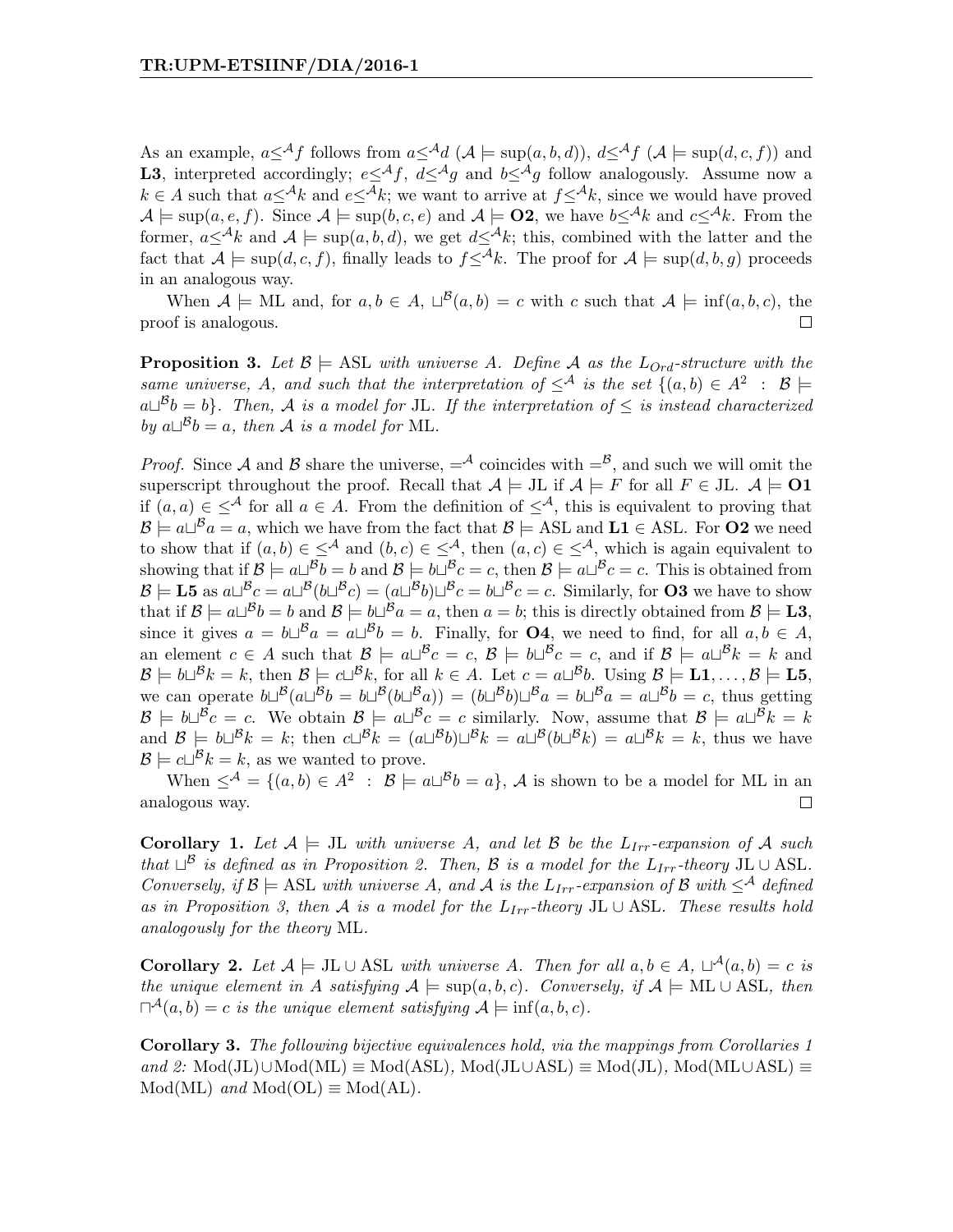As an example,  $a<sup>A</sup>f$  follows from  $a<sup>A</sup>d$  ( $A \models \sup(a, b, d)$ ),  $d<sup>A</sup>f$  ( $A \models \sup(d, c, f)$ ) and **L3**, interpreted accordingly;  $e \leq^{A} f$ ,  $d \leq^{A} g$  and  $b \leq^{A} g$  follow analogously. Assume now a  $k \in A$  such that  $a \leq^A k$  and  $e \leq^A k$ ; we want to arrive at  $f \leq^A k$ , since we would have proved  $\mathcal{A} \models \sup(a, e, f)$ . Since  $\mathcal{A} \models \sup(b, c, e)$  and  $\mathcal{A} \models \mathbf{O2}$ , we have  $b \leq \mathcal{A}_k$  and  $c \leq \mathcal{A}_k$ . From the former,  $a\leq^{\mathcal{A}}k$  and  $\mathcal{A} \models \sup(a, b, d)$ , we get  $d\leq^{\mathcal{A}}k$ ; this, combined with the latter and the fact that  $\mathcal{A} \models \sup(d, c, f)$ , finally leads to  $f \leq k$ . The proof for  $\mathcal{A} \models \sup(d, b, q)$  proceeds in an analogous way.

When  $A \models \text{ML}$  and, for  $a, b \in A$ ,  $\Box^{\mathcal{B}}(a, b) = c$  with c such that  $A \models \inf(a, b, c)$ , the proof is analogous.  $\Box$ 

**Proposition 3.** Let  $\mathcal{B} \models$  ASL with universe A. Define A as the  $L_{Ord}$ -structure with the same universe, A, and such that the interpretation of  $\leq^{\mathcal{A}}$  is the set  $\{(a,b)\in A^2 : \mathcal{B} \models$  $a\Box^{B}b = b$ . Then, A is a model for JL. If the interpretation of  $\leq$  is instead characterized by  $a\Box^B b = a$ , then A is a model for ML.

*Proof.* Since A and B share the universe,  $=$ <sup>A</sup> coincides with  $=$ <sup>B</sup>, and such we will omit the superscript throughout the proof. Recall that  $A \models$  JL if  $A \models F$  for all  $F \in$  JL.  $A \models$  **O1** if  $(a, a) \in \langle A \rangle$  for all  $a \in A$ . From the definition of  $\langle A \rangle$ , this is equivalent to proving that  $\mathcal{B} \models a \sqcup^{\mathcal{B}} a = a$ , which we have from the fact that  $\mathcal{B} \models \text{ASL}$  and  $\text{L1} \in \text{ASL}$ . For **O2** we need to show that if  $(a, b) \in \langle A \rangle$  and  $(b, c) \in \langle A \rangle$ , then  $(a, c) \in \langle A \rangle$ , which is again equivalent to showing that if  $\mathcal{B} \models a \sqcup^{\mathcal{B}} b = b$  and  $\mathcal{B} \models b \sqcup^{\mathcal{B}} c = c$ , then  $\mathcal{B} \models a \sqcup^{\mathcal{B}} c = c$ . This is obtained from  $\mathcal{B} \models$  **L5** as  $a \sqcup^{\mathcal{B}} c = a \sqcup^{\mathcal{B}} (b \sqcup^{\mathcal{B}} c) = (a \sqcup^{\mathcal{B}} b) \sqcup^{\mathcal{B}} c = b \sqcup^{\mathcal{B}} c = c$ . Similarly, for **O3** we have to show that if  $\mathcal{B} \models a \sqcup^{\mathcal{B}} b = b$  and  $\mathcal{B} \models b \sqcup^{\mathcal{B}} a = a$ , then  $a = b$ ; this is directly obtained from  $\mathcal{B} \models L3$ , since it gives  $a = b \Box^B a = a \Box^B b = b$ . Finally, for **O4**, we need to find, for all  $a, b \in A$ , an element  $c \in A$  such that  $\mathcal{B} \models a \sqcup^{\mathcal{B}} c = c, \mathcal{B} \models b \sqcup^{\mathcal{B}} c = c$ , and if  $\mathcal{B} \models a \sqcup^{\mathcal{B}} k = k$  and  $\mathcal{B} \models b\sqcup^{\mathcal{B}} k = k$ , then  $\mathcal{B} \models c\sqcup^{\mathcal{B}} k$ , for all  $k \in A$ . Let  $c = a\sqcup^{\mathcal{B}} b$ . Using  $\mathcal{B} \models L1, \ldots, \mathcal{B} \models L5$ , we can operate  $b\Box^B(a\Box^B b = b\Box^B(b\Box^B a)) = (b\Box^B b)\Box^B a = b\Box^B a = a\Box^B b = c$ , thus getting  $\mathcal{B} \models b\sqcup^{\mathcal{B}}c = c$ . We obtain  $\mathcal{B} \models a\sqcup^{\mathcal{B}}c = c$  similarly. Now, assume that  $\mathcal{B} \models a\sqcup^{\mathcal{B}}k = k$ and  $\mathcal{B} = b \sqcup^{\mathcal{B}} k = k$ ; then  $c \sqcup^{\mathcal{B}} k = (a \sqcup^{\mathcal{B}} b) \sqcup^{\mathcal{B}} k = a \sqcup^{\mathcal{B}} (b \sqcup^{\mathcal{B}} k) = a \sqcup^{\mathcal{B}} k = k$ , thus we have  $\mathcal{B} \models c \sqcup^{\mathcal{B}} k = k$ , as we wanted to prove.

When  $\leq^{\mathcal{A}} = \{(a, b) \in A^2 : \mathcal{B} \models a \sqcup^{\mathcal{B}} b = a\}, \mathcal{A}$  is shown to be a model for ML in an analogous way.  $\Box$ 

**Corollary 1.** Let  $A \models$  JL with universe A, and let B be the  $L_{Irr}$ -expansion of A such that  $\Box^{\mathcal{B}}$  is defined as in Proposition 2. Then,  $\mathcal{B}$  is a model for the  $L_{Irr}$ -theory JL ∪ ASL. Conversely, if  $\mathcal{B} \models \text{ASL}$  with universe A, and A is the  $L_{Irr}$ -expansion of B with  $\leq^{\mathcal{A}}$  defined as in Proposition 3, then A is a model for the  $L_{Irr}$ -theory JL ∪ ASL. These results hold analogously for the theory ML.

**Corollary 2.** Let  $A \models$  JL  $\cup$  ASL with universe A. Then for all  $a, b \in A$ ,  $\sqcup^{\mathcal{A}}(a, b) = c$  is the unique element in A satisfying  $A \models \text{sup}(a, b, c)$ . Conversely, if  $A \models \text{ML} \cup \text{ASL}$ , then  $\Box^{\mathcal{A}}(a,b) = c$  is the unique element satisfying  $\mathcal{A} \models \inf(a,b,c)$ .

Corollary 3. The following bijective equivalences hold, via the mappings from Corollaries 1 and 2: Mod(JL)∪Mod(ML)  $\equiv$  Mod(ASL), Mod(JL∪ASL)  $\equiv$  Mod(JL), Mod(ML∪ASL)  $\equiv$  $Mod(ML)$  and  $Mod(OL) \equiv Mod(AL)$ .